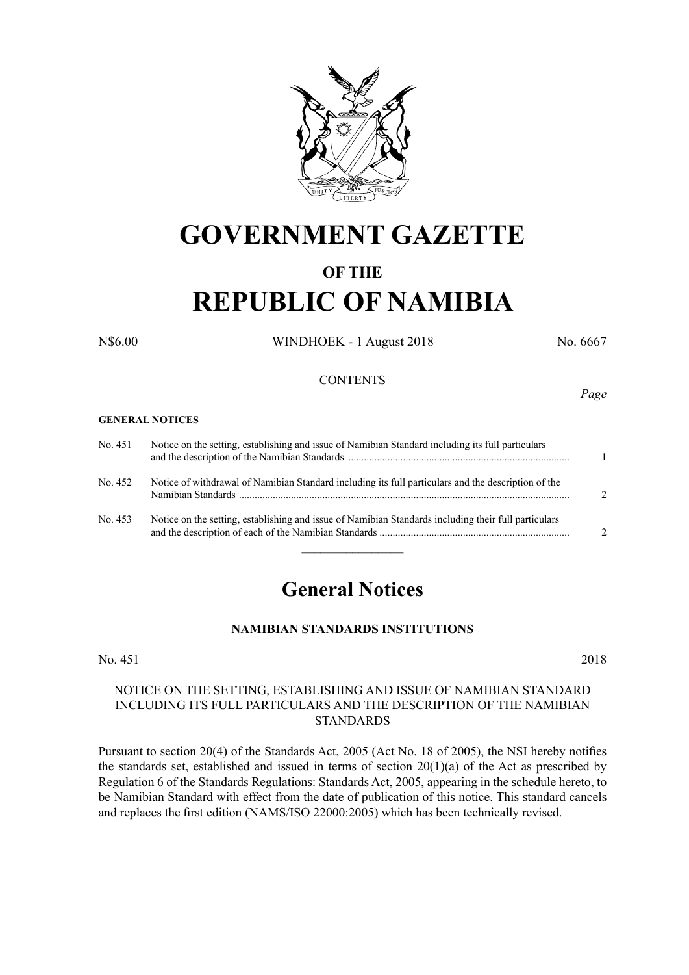

## **GOVERNMENT GAZETTE**

### **OF THE**

# **REPUBLIC OF NAMIBIA**

N\$6.00 WINDHOEK - 1 August 2018 No. 6667

#### **CONTENTS**

#### **GENERAL NOTICES**

| No. 451 | Notice on the setting, establishing and issue of Namibian Standard including its full particulars    |               |
|---------|------------------------------------------------------------------------------------------------------|---------------|
| No. 452 | Notice of withdrawal of Namibian Standard including its full particulars and the description of the  | $\mathcal{D}$ |
| No. 453 | Notice on the setting, establishing and issue of Namibian Standards including their full particulars | $\mathcal{D}$ |

### **General Notices**

#### **NAMIBIAN STANDARDS INSTITUTIONS**

No. 451 2018

#### NOTICE ON THE SETTING, ESTABLISHING AND ISSUE OF NAMIBIAN STANDARD INCLUDING ITS FULL PARTICULARS AND THE DESCRIPTION OF THE NAMIBIAN STANDARDS

Pursuant to section 20(4) of the Standards Act, 2005 (Act No. 18 of 2005), the NSI hereby notifies the standards set, established and issued in terms of section  $20(1)(a)$  of the Act as prescribed by Regulation 6 of the Standards Regulations: Standards Act, 2005, appearing in the schedule hereto, to be Namibian Standard with effect from the date of publication of this notice. This standard cancels and replaces the first edition (NAMS/ISO 22000:2005) which has been technically revised.

*Page*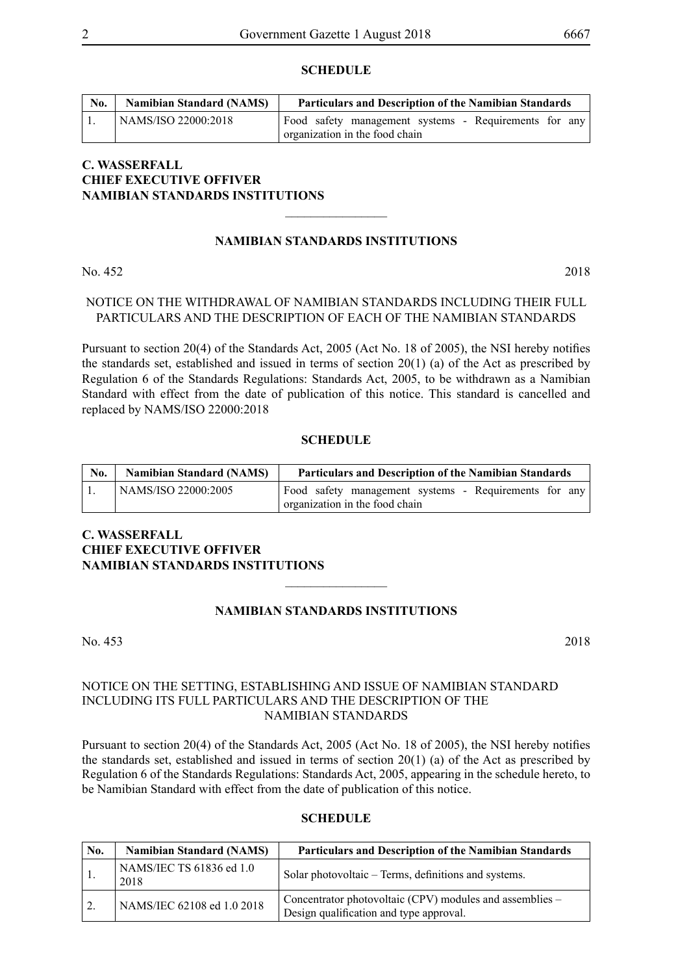#### **SCHEDULE**

| No. | <b>Namibian Standard (NAMS)</b> | <b>Particulars and Description of the Namibian Standards</b>                            |
|-----|---------------------------------|-----------------------------------------------------------------------------------------|
|     | NAMS/ISO 22000:2018             | Food safety management systems - Requirements for any<br>organization in the food chain |

#### **C. WASSERFALL CHIEF EXECUTIVE OFFIVER NAMIBIAN STANDARDS INSTITUTIONS**

#### **NAMIBIAN STANDARDS INSTITUTIONS**

 $\overline{\phantom{a}}$  , where  $\overline{\phantom{a}}$ 

No. 452 2018

#### NOTICE ON THE WITHDRAWAL OF NAMIBIAN STANDARDS INCLUDING THEIR FULL PARTICULARS AND THE DESCRIPTION OF EACH OF THE NAMIBIAN STANDARDS

Pursuant to section 20(4) of the Standards Act, 2005 (Act No. 18 of 2005), the NSI hereby notifies the standards set, established and issued in terms of section 20(1) (a) of the Act as prescribed by Regulation 6 of the Standards Regulations: Standards Act, 2005, to be withdrawn as a Namibian Standard with effect from the date of publication of this notice. This standard is cancelled and replaced by NAMS/ISO 22000:2018

#### **SCHEDULE**

| No. | <b>Namibian Standard (NAMS)</b> | <b>Particulars and Description of the Namibian Standards</b> |
|-----|---------------------------------|--------------------------------------------------------------|
|     | NAMS/ISO 22000:2005             | Food safety management systems - Requirements for any        |
|     |                                 | organization in the food chain                               |

#### **C. WASSERFALL CHIEF EXECUTIVE OFFIVER NAMIBIAN STANDARDS INSTITUTIONS**  $\overline{\phantom{a}}$  , where  $\overline{\phantom{a}}$

#### **NAMIBIAN STANDARDS INSTITUTIONS**

No. 453 2018

#### NOTICE ON THE SETTING, ESTABLISHING AND ISSUE OF NAMIBIAN STANDARD INCLUDING ITS FULL PARTICULARS AND THE DESCRIPTION OF THE NAMIBIAN STANDARDS

Pursuant to section 20(4) of the Standards Act, 2005 (Act No. 18 of 2005), the NSI hereby notifies the standards set, established and issued in terms of section 20(1) (a) of the Act as prescribed by Regulation 6 of the Standards Regulations: Standards Act, 2005, appearing in the schedule hereto, to be Namibian Standard with effect from the date of publication of this notice.

#### **SCHEDULE**

| No. | <b>Namibian Standard (NAMS)</b>  | <b>Particulars and Description of the Namibian Standards</b>                                        |
|-----|----------------------------------|-----------------------------------------------------------------------------------------------------|
|     | NAMS/IEC TS 61836 ed 1.0<br>2018 | Solar photovoltaic – Terms, definitions and systems.                                                |
|     | NAMS/IEC 62108 ed 1.0 2018       | Concentrator photovoltaic (CPV) modules and assemblies –<br>Design qualification and type approval. |